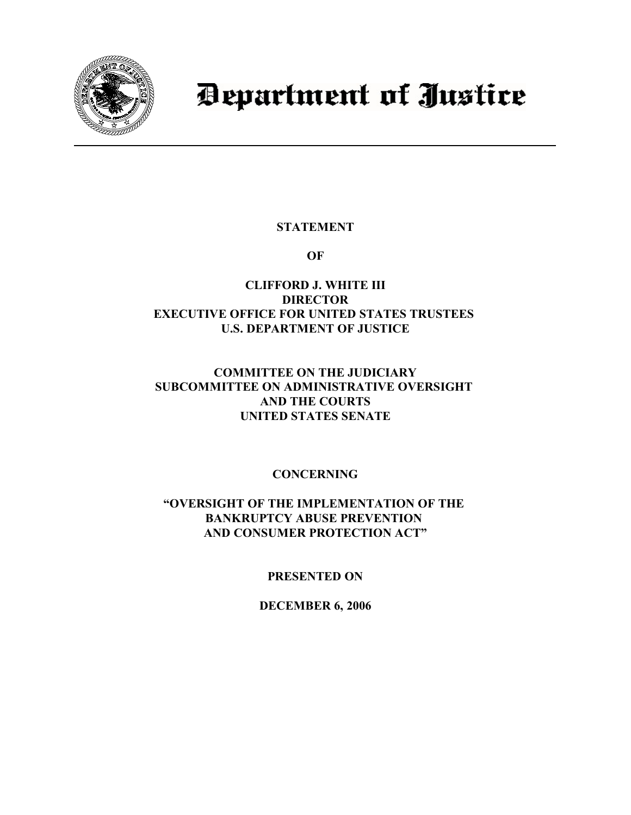

# Department of Justice

# **STATEMENT**

**OF**

# **CLIFFORD J. WHITE III DIRECTOR EXECUTIVE OFFICE FOR UNITED STATES TRUSTEES U.S. DEPARTMENT OF JUSTICE**

# **COMMITTEE ON THE JUDICIARY SUBCOMMITTEE ON ADMINISTRATIVE OVERSIGHT AND THE COURTS UNITED STATES SENATE**

# **CONCERNING**

## **"OVERSIGHT OF THE IMPLEMENTATION OF THE BANKRUPTCY ABUSE PREVENTION AND CONSUMER PROTECTION ACT"**

# **PRESENTED ON**

## **DECEMBER 6, 2006**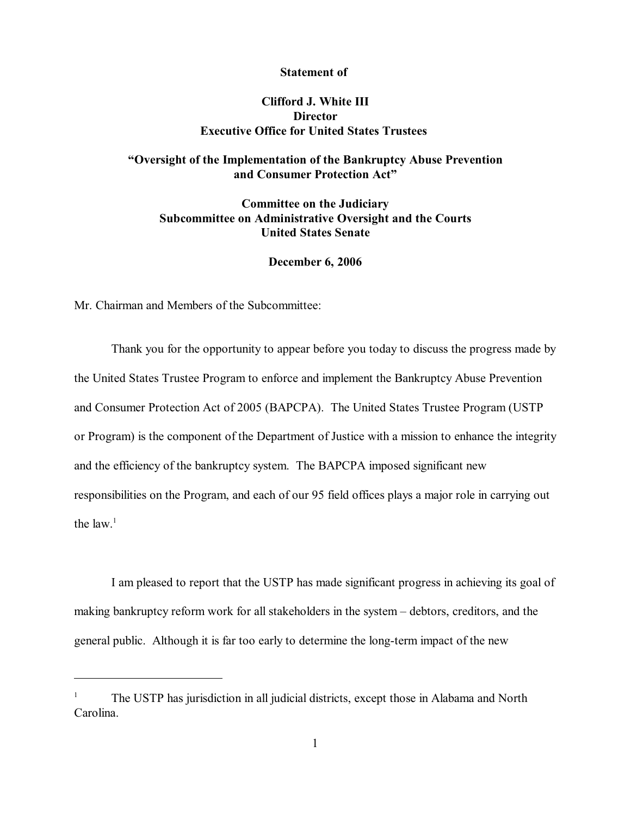#### **Statement of**

## **Clifford J. White III Director Executive Office for United States Trustees**

## **"Oversight of the Implementation of the Bankruptcy Abuse Prevention and Consumer Protection Act"**

## **Committee on the Judiciary Subcommittee on Administrative Oversight and the Courts United States Senate**

#### **December 6, 2006**

Mr. Chairman and Members of the Subcommittee:

Thank you for the opportunity to appear before you today to discuss the progress made by the United States Trustee Program to enforce and implement the Bankruptcy Abuse Prevention and Consumer Protection Act of 2005 (BAPCPA). The United States Trustee Program (USTP or Program) is the component of the Department of Justice with a mission to enhance the integrity and the efficiency of the bankruptcy system. The BAPCPA imposed significant new responsibilities on the Program, and each of our 95 field offices plays a major role in carrying out the  $law.<sup>1</sup>$ 

I am pleased to report that the USTP has made significant progress in achieving its goal of making bankruptcy reform work for all stakeholders in the system – debtors, creditors, and the general public. Although it is far too early to determine the long-term impact of the new

 $T^1$  The USTP has jurisdiction in all judicial districts, except those in Alabama and North Carolina.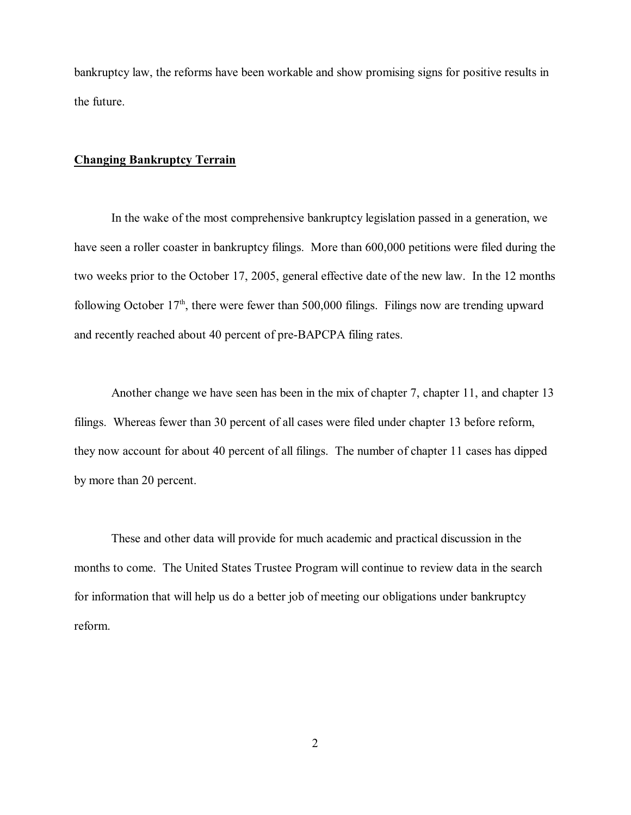bankruptcy law, the reforms have been workable and show promising signs for positive results in the future.

### **Changing Bankruptcy Terrain**

In the wake of the most comprehensive bankruptcy legislation passed in a generation, we have seen a roller coaster in bankruptcy filings. More than 600,000 petitions were filed during the two weeks prior to the October 17, 2005, general effective date of the new law. In the 12 months following October  $17<sup>th</sup>$ , there were fewer than 500,000 filings. Filings now are trending upward and recently reached about 40 percent of pre-BAPCPA filing rates.

Another change we have seen has been in the mix of chapter 7, chapter 11, and chapter 13 filings. Whereas fewer than 30 percent of all cases were filed under chapter 13 before reform, they now account for about 40 percent of all filings. The number of chapter 11 cases has dipped by more than 20 percent.

These and other data will provide for much academic and practical discussion in the months to come. The United States Trustee Program will continue to review data in the search for information that will help us do a better job of meeting our obligations under bankruptcy reform.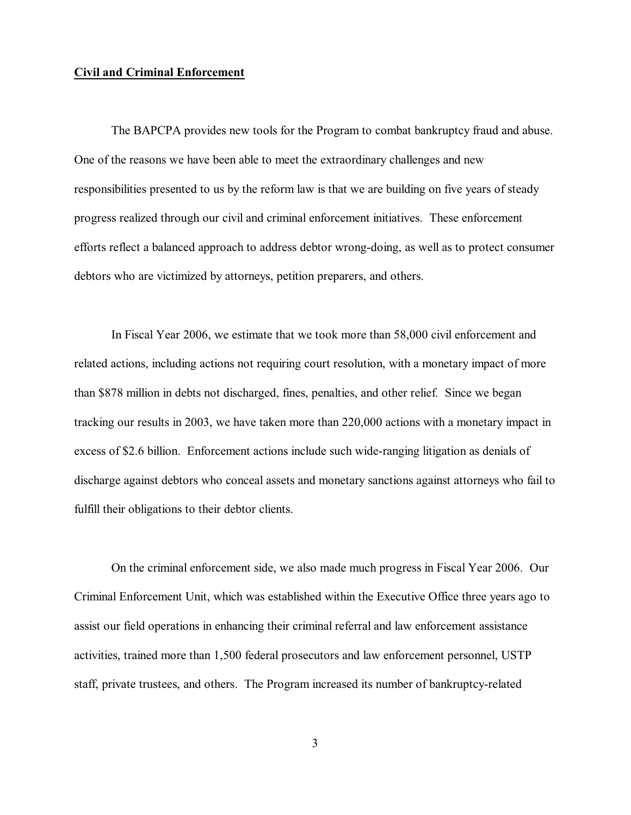#### **Civil and Criminal Enforcement**

The BAPCPA provides new tools for the Program to combat bankruptcy fraud and abuse. One of the reasons we have been able to meet the extraordinary challenges and new responsibilities presented to us by the reform law is that we are building on five years of steady progress realized through our civil and criminal enforcement initiatives. These enforcement efforts reflect a balanced approach to address debtor wrong-doing, as well as to protect consumer debtors who are victimized by attorneys, petition preparers, and others.

In Fiscal Year 2006, we estimate that we took more than 58,000 civil enforcement and related actions, including actions not requiring court resolution, with a monetary impact of more than \$878 million in debts not discharged, fines, penalties, and other relief. Since we began tracking our results in 2003, we have taken more than 220,000 actions with a monetary impact in excess of \$2.6 billion. Enforcement actions include such wide-ranging litigation as denials of discharge against debtors who conceal assets and monetary sanctions against attorneys who fail to fulfill their obligations to their debtor clients.

On the criminal enforcement side, we also made much progress in Fiscal Year 2006. Our Criminal Enforcement Unit, which was established within the Executive Office three years ago to assist our field operations in enhancing their criminal referral and law enforcement assistance activities, trained more than 1,500 federal prosecutors and law enforcement personnel, USTP staff, private trustees, and others. The Program increased its number of bankruptcy-related

3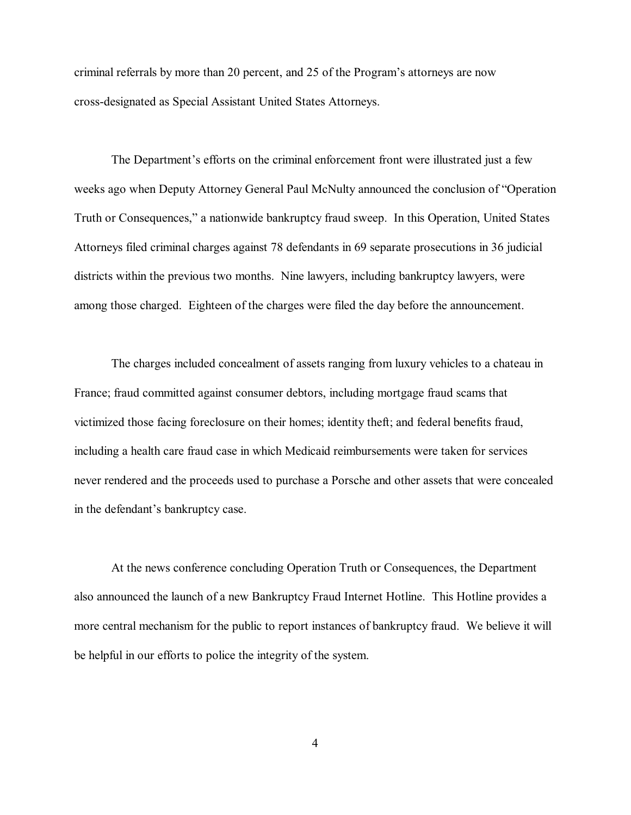criminal referrals by more than 20 percent, and 25 of the Program's attorneys are now cross-designated as Special Assistant United States Attorneys.

The Department's efforts on the criminal enforcement front were illustrated just a few weeks ago when Deputy Attorney General Paul McNulty announced the conclusion of "Operation Truth or Consequences," a nationwide bankruptcy fraud sweep. In this Operation, United States Attorneys filed criminal charges against 78 defendants in 69 separate prosecutions in 36 judicial districts within the previous two months. Nine lawyers, including bankruptcy lawyers, were among those charged. Eighteen of the charges were filed the day before the announcement.

The charges included concealment of assets ranging from luxury vehicles to a chateau in France; fraud committed against consumer debtors, including mortgage fraud scams that victimized those facing foreclosure on their homes; identity theft; and federal benefits fraud, including a health care fraud case in which Medicaid reimbursements were taken for services never rendered and the proceeds used to purchase a Porsche and other assets that were concealed in the defendant's bankruptcy case.

At the news conference concluding Operation Truth or Consequences, the Department also announced the launch of a new Bankruptcy Fraud Internet Hotline. This Hotline provides a more central mechanism for the public to report instances of bankruptcy fraud. We believe it will be helpful in our efforts to police the integrity of the system.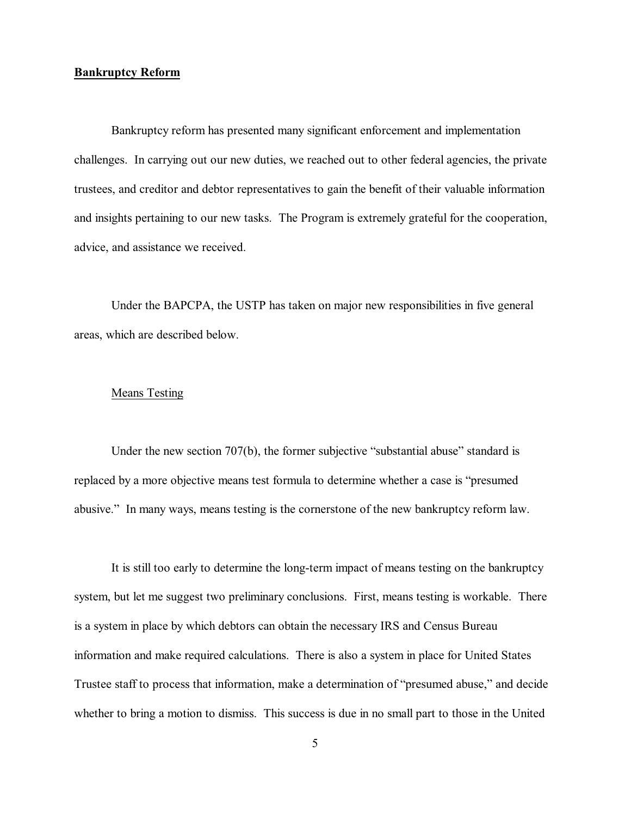#### **Bankruptcy Reform**

Bankruptcy reform has presented many significant enforcement and implementation challenges. In carrying out our new duties, we reached out to other federal agencies, the private trustees, and creditor and debtor representatives to gain the benefit of their valuable information and insights pertaining to our new tasks. The Program is extremely grateful for the cooperation, advice, and assistance we received.

Under the BAPCPA, the USTP has taken on major new responsibilities in five general areas, which are described below.

#### Means Testing

Under the new section 707(b), the former subjective "substantial abuse" standard is replaced by a more objective means test formula to determine whether a case is "presumed abusive." In many ways, means testing is the cornerstone of the new bankruptcy reform law.

It is still too early to determine the long-term impact of means testing on the bankruptcy system, but let me suggest two preliminary conclusions. First, means testing is workable. There is a system in place by which debtors can obtain the necessary IRS and Census Bureau information and make required calculations. There is also a system in place for United States Trustee staff to process that information, make a determination of "presumed abuse," and decide whether to bring a motion to dismiss. This success is due in no small part to those in the United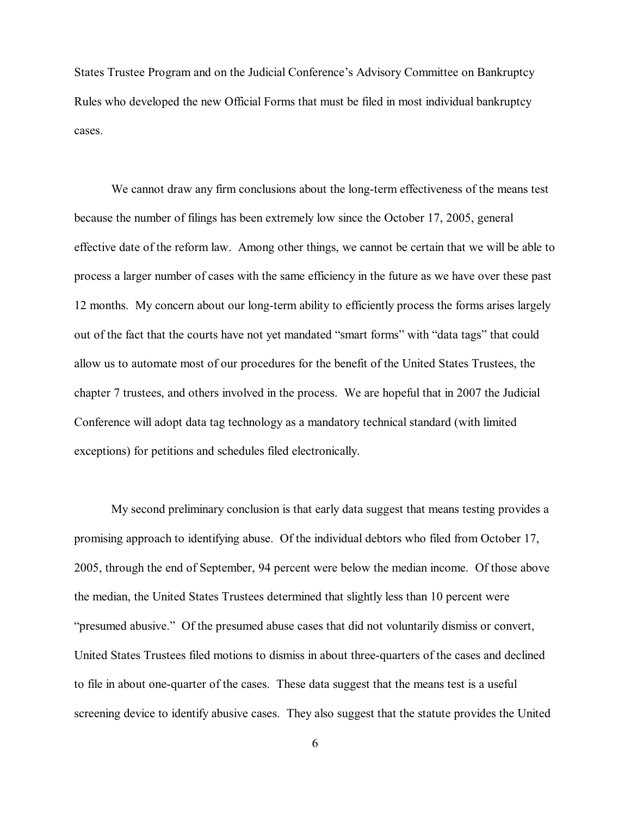States Trustee Program and on the Judicial Conference's Advisory Committee on Bankruptcy Rules who developed the new Official Forms that must be filed in most individual bankruptcy cases.

We cannot draw any firm conclusions about the long-term effectiveness of the means test because the number of filings has been extremely low since the October 17, 2005, general effective date of the reform law. Among other things, we cannot be certain that we will be able to process a larger number of cases with the same efficiency in the future as we have over these past 12 months. My concern about our long-term ability to efficiently process the forms arises largely out of the fact that the courts have not yet mandated "smart forms" with "data tags" that could allow us to automate most of our procedures for the benefit of the United States Trustees, the chapter 7 trustees, and others involved in the process. We are hopeful that in 2007 the Judicial Conference will adopt data tag technology as a mandatory technical standard (with limited exceptions) for petitions and schedules filed electronically.

My second preliminary conclusion is that early data suggest that means testing provides a promising approach to identifying abuse. Of the individual debtors who filed from October 17, 2005, through the end of September, 94 percent were below the median income. Of those above the median, the United States Trustees determined that slightly less than 10 percent were "presumed abusive." Of the presumed abuse cases that did not voluntarily dismiss or convert, United States Trustees filed motions to dismiss in about three-quarters of the cases and declined to file in about one-quarter of the cases. These data suggest that the means test is a useful screening device to identify abusive cases. They also suggest that the statute provides the United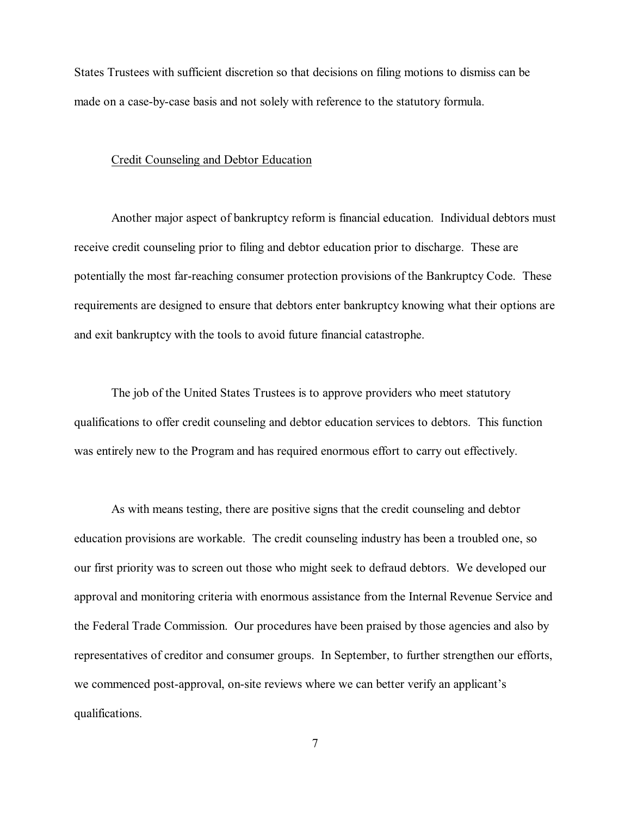States Trustees with sufficient discretion so that decisions on filing motions to dismiss can be made on a case-by-case basis and not solely with reference to the statutory formula.

#### Credit Counseling and Debtor Education

Another major aspect of bankruptcy reform is financial education. Individual debtors must receive credit counseling prior to filing and debtor education prior to discharge. These are potentially the most far-reaching consumer protection provisions of the Bankruptcy Code. These requirements are designed to ensure that debtors enter bankruptcy knowing what their options are and exit bankruptcy with the tools to avoid future financial catastrophe.

The job of the United States Trustees is to approve providers who meet statutory qualifications to offer credit counseling and debtor education services to debtors. This function was entirely new to the Program and has required enormous effort to carry out effectively.

As with means testing, there are positive signs that the credit counseling and debtor education provisions are workable. The credit counseling industry has been a troubled one, so our first priority was to screen out those who might seek to defraud debtors. We developed our approval and monitoring criteria with enormous assistance from the Internal Revenue Service and the Federal Trade Commission. Our procedures have been praised by those agencies and also by representatives of creditor and consumer groups. In September, to further strengthen our efforts, we commenced post-approval, on-site reviews where we can better verify an applicant's qualifications.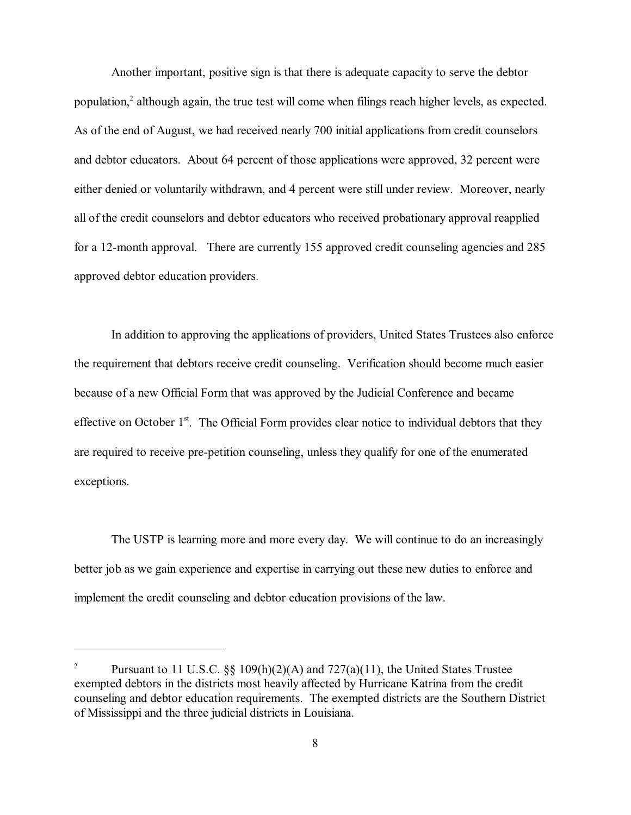Another important, positive sign is that there is adequate capacity to serve the debtor population, $\alpha$  although again, the true test will come when filings reach higher levels, as expected. As of the end of August, we had received nearly 700 initial applications from credit counselors and debtor educators. About 64 percent of those applications were approved, 32 percent were either denied or voluntarily withdrawn, and 4 percent were still under review. Moreover, nearly all of the credit counselors and debtor educators who received probationary approval reapplied for a 12-month approval. There are currently 155 approved credit counseling agencies and 285 approved debtor education providers.

In addition to approving the applications of providers, United States Trustees also enforce the requirement that debtors receive credit counseling. Verification should become much easier because of a new Official Form that was approved by the Judicial Conference and became effective on October 1<sup>st</sup>. The Official Form provides clear notice to individual debtors that they are required to receive pre-petition counseling, unless they qualify for one of the enumerated exceptions.

The USTP is learning more and more every day. We will continue to do an increasingly better job as we gain experience and expertise in carrying out these new duties to enforce and implement the credit counseling and debtor education provisions of the law.

<sup>&</sup>lt;sup>2</sup> Pursuant to 11 U.S.C.  $\frac{8}{9}$  109(h)(2)(A) and 727(a)(11), the United States Trustee exempted debtors in the districts most heavily affected by Hurricane Katrina from the credit counseling and debtor education requirements. The exempted districts are the Southern District of Mississippi and the three judicial districts in Louisiana.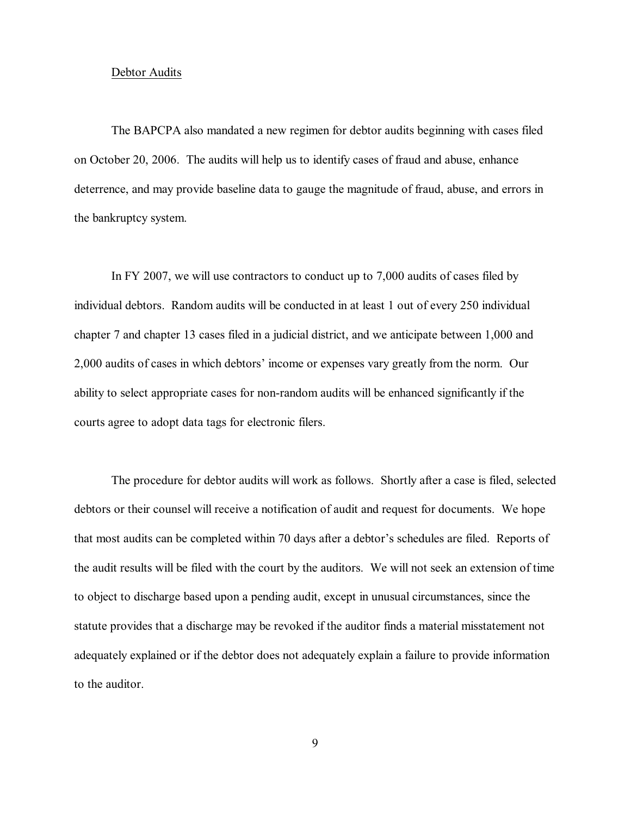#### Debtor Audits

The BAPCPA also mandated a new regimen for debtor audits beginning with cases filed on October 20, 2006. The audits will help us to identify cases of fraud and abuse, enhance deterrence, and may provide baseline data to gauge the magnitude of fraud, abuse, and errors in the bankruptcy system.

In FY 2007, we will use contractors to conduct up to 7,000 audits of cases filed by individual debtors. Random audits will be conducted in at least 1 out of every 250 individual chapter 7 and chapter 13 cases filed in a judicial district, and we anticipate between 1,000 and 2,000 audits of cases in which debtors' income or expenses vary greatly from the norm. Our ability to select appropriate cases for non-random audits will be enhanced significantly if the courts agree to adopt data tags for electronic filers.

The procedure for debtor audits will work as follows. Shortly after a case is filed, selected debtors or their counsel will receive a notification of audit and request for documents. We hope that most audits can be completed within 70 days after a debtor's schedules are filed. Reports of the audit results will be filed with the court by the auditors. We will not seek an extension of time to object to discharge based upon a pending audit, except in unusual circumstances, since the statute provides that a discharge may be revoked if the auditor finds a material misstatement not adequately explained or if the debtor does not adequately explain a failure to provide information to the auditor.

9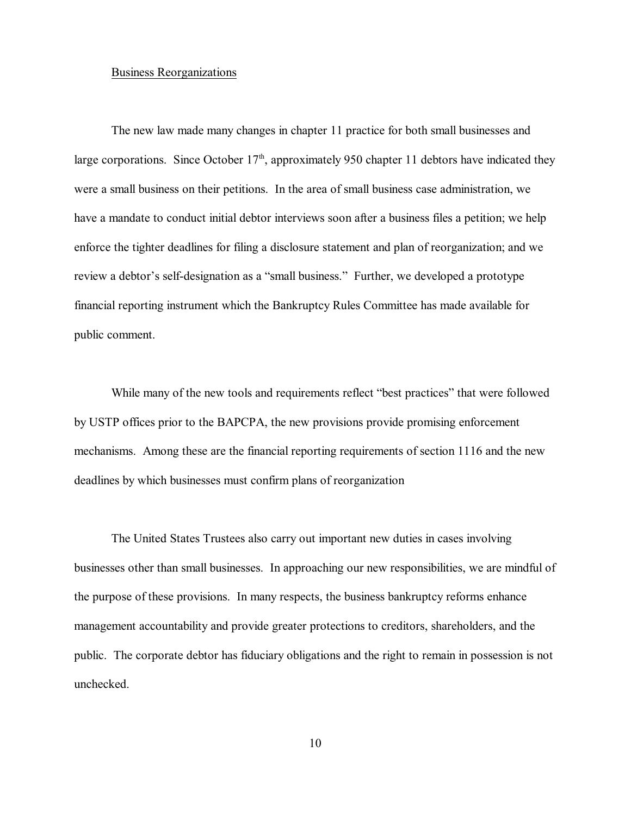#### Business Reorganizations

The new law made many changes in chapter 11 practice for both small businesses and large corporations. Since October  $17<sup>th</sup>$ , approximately 950 chapter 11 debtors have indicated they were a small business on their petitions. In the area of small business case administration, we have a mandate to conduct initial debtor interviews soon after a business files a petition; we help enforce the tighter deadlines for filing a disclosure statement and plan of reorganization; and we review a debtor's self-designation as a "small business." Further, we developed a prototype financial reporting instrument which the Bankruptcy Rules Committee has made available for public comment.

While many of the new tools and requirements reflect "best practices" that were followed by USTP offices prior to the BAPCPA, the new provisions provide promising enforcement mechanisms. Among these are the financial reporting requirements of section 1116 and the new deadlines by which businesses must confirm plans of reorganization

The United States Trustees also carry out important new duties in cases involving businesses other than small businesses. In approaching our new responsibilities, we are mindful of the purpose of these provisions. In many respects, the business bankruptcy reforms enhance management accountability and provide greater protections to creditors, shareholders, and the public. The corporate debtor has fiduciary obligations and the right to remain in possession is not unchecked.

10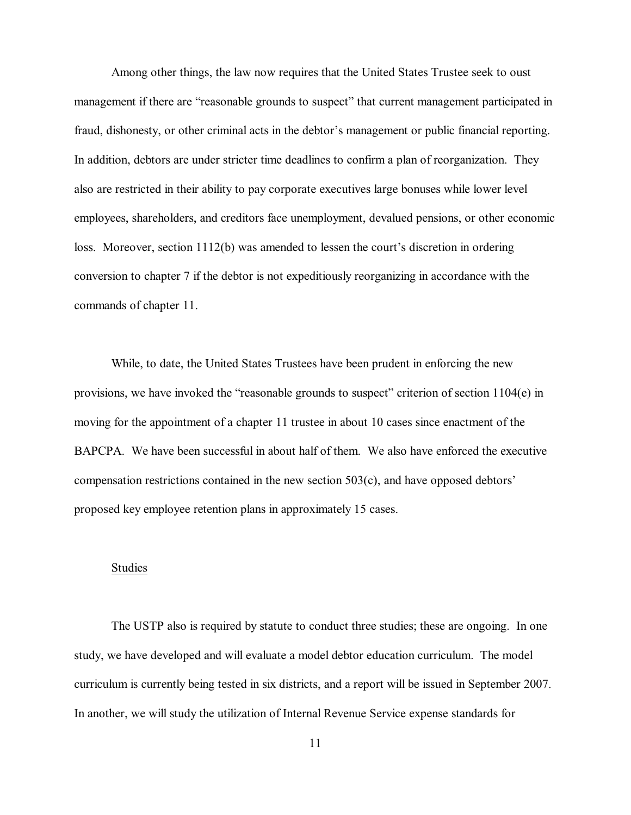Among other things, the law now requires that the United States Trustee seek to oust management if there are "reasonable grounds to suspect" that current management participated in fraud, dishonesty, or other criminal acts in the debtor's management or public financial reporting. In addition, debtors are under stricter time deadlines to confirm a plan of reorganization. They also are restricted in their ability to pay corporate executives large bonuses while lower level employees, shareholders, and creditors face unemployment, devalued pensions, or other economic loss. Moreover, section 1112(b) was amended to lessen the court's discretion in ordering conversion to chapter 7 if the debtor is not expeditiously reorganizing in accordance with the commands of chapter 11.

While, to date, the United States Trustees have been prudent in enforcing the new provisions, we have invoked the "reasonable grounds to suspect" criterion of section 1104(e) in moving for the appointment of a chapter 11 trustee in about 10 cases since enactment of the BAPCPA. We have been successful in about half of them. We also have enforced the executive compensation restrictions contained in the new section 503(c), and have opposed debtors' proposed key employee retention plans in approximately 15 cases.

#### Studies

The USTP also is required by statute to conduct three studies; these are ongoing. In one study, we have developed and will evaluate a model debtor education curriculum. The model curriculum is currently being tested in six districts, and a report will be issued in September 2007. In another, we will study the utilization of Internal Revenue Service expense standards for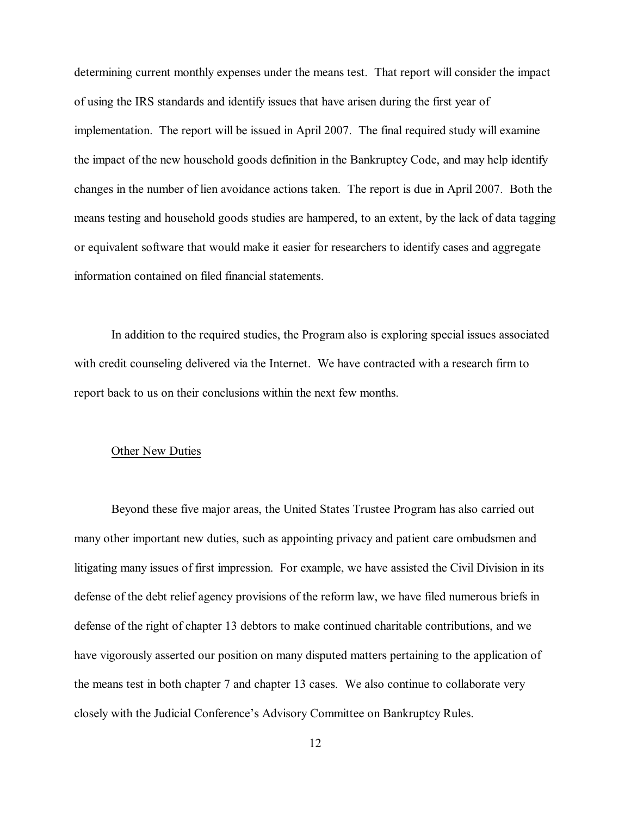determining current monthly expenses under the means test. That report will consider the impact of using the IRS standards and identify issues that have arisen during the first year of implementation. The report will be issued in April 2007. The final required study will examine the impact of the new household goods definition in the Bankruptcy Code, and may help identify changes in the number of lien avoidance actions taken. The report is due in April 2007. Both the means testing and household goods studies are hampered, to an extent, by the lack of data tagging or equivalent software that would make it easier for researchers to identify cases and aggregate information contained on filed financial statements.

In addition to the required studies, the Program also is exploring special issues associated with credit counseling delivered via the Internet. We have contracted with a research firm to report back to us on their conclusions within the next few months.

#### Other New Duties

Beyond these five major areas, the United States Trustee Program has also carried out many other important new duties, such as appointing privacy and patient care ombudsmen and litigating many issues of first impression. For example, we have assisted the Civil Division in its defense of the debt relief agency provisions of the reform law, we have filed numerous briefs in defense of the right of chapter 13 debtors to make continued charitable contributions, and we have vigorously asserted our position on many disputed matters pertaining to the application of the means test in both chapter 7 and chapter 13 cases. We also continue to collaborate very closely with the Judicial Conference's Advisory Committee on Bankruptcy Rules.